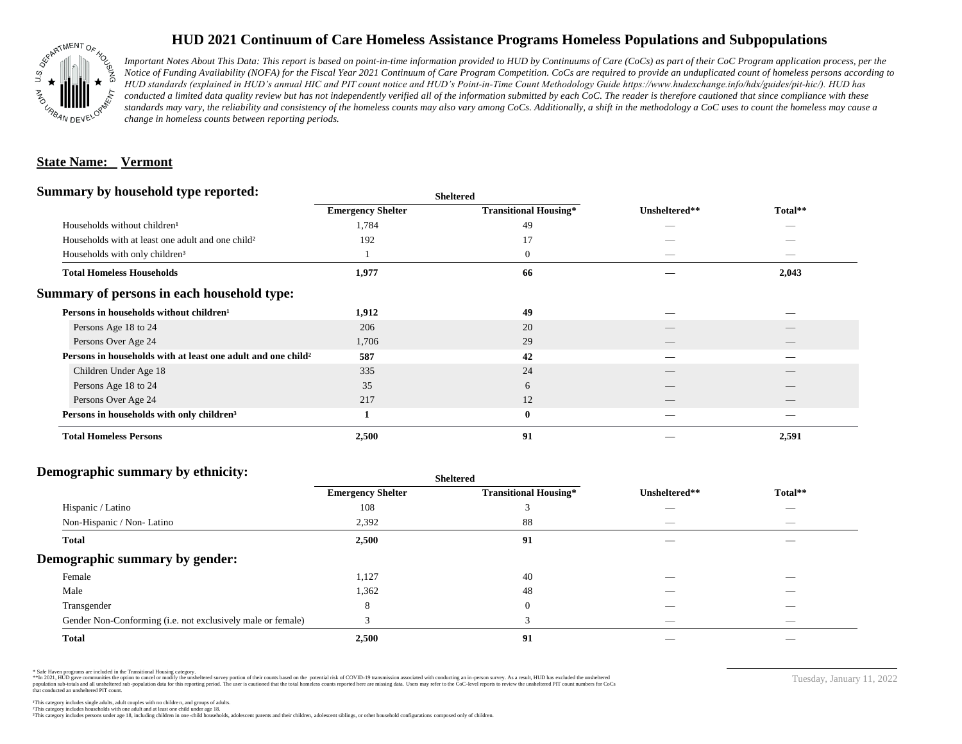

## **HUD 2021 Continuum of Care Homeless Assistance Programs Homeless Populations and Subpopulations**

*Important Notes About This Data: This report is based on point-in-time information provided to HUD by Continuums of Care (CoCs) as part of their CoC Program application process, per the Notice of Funding Availability (NOFA) for the Fiscal Year 2021 Continuum of Care Program Competition. CoCs are required to provide an unduplicated count of homeless persons according to HUD standards (explained in HUD's annual HIC and PIT count notice and HUD's Point-in-Time Count Methodology Guide https://www.hudexchange.info/hdx/guides/pit-hic/). HUD has*  conducted a limited data quality review but has not independently verified all of the information submitted by each CoC. The reader is therefore cautioned that since compliance with these standards may vary, the reliability and consistency of the homeless counts may also vary among CoCs. Additionally, a shift in the methodology a CoC uses to count the homeless may cause a *change in homeless counts between reporting periods.*

#### **State Name: Vermont**

#### **Summary by household type reported:**

| Summary by household type reported:                           | <b>Sheltered</b>         |                              |               |                                 |
|---------------------------------------------------------------|--------------------------|------------------------------|---------------|---------------------------------|
|                                                               | <b>Emergency Shelter</b> | <b>Transitional Housing*</b> | Unsheltered** | Total**                         |
| Households without children <sup>1</sup>                      | 1,784                    | 49                           |               |                                 |
| Households with at least one adult and one child <sup>2</sup> | 192                      | 17                           |               |                                 |
| Households with only children <sup>3</sup>                    |                          | $\boldsymbol{0}$             |               |                                 |
| <b>Total Homeless Households</b>                              | 1,977                    | 66                           |               | 2,043                           |
| Summary of persons in each household type:                    |                          |                              |               |                                 |
| Persons in households without children <sup>1</sup>           | 1,912                    | 49                           |               |                                 |
| Persons Age 18 to 24                                          | 206                      | 20                           |               |                                 |
| Persons Over Age 24                                           | 1,706                    | 29                           |               |                                 |
| Persons in households with at least one adult and one child?  | 587                      | 42                           |               |                                 |
| Children Under Age 18                                         | 335                      | 24                           |               |                                 |
| Persons Age 18 to 24                                          | 35                       | 6                            |               |                                 |
| Persons Over Age 24                                           | 217                      | 12                           | __            | $\hspace{0.1mm}-\hspace{0.1mm}$ |
| Persons in households with only children <sup>3</sup>         |                          | $\bf{0}$                     |               |                                 |
| <b>Total Homeless Persons</b>                                 | 2,500                    | 91                           |               | 2,591                           |

### **Demographic summary by ethnicity:**

|                                                             |                          | <b>Sheltered</b>             |               |                                |  |
|-------------------------------------------------------------|--------------------------|------------------------------|---------------|--------------------------------|--|
|                                                             | <b>Emergency Shelter</b> | <b>Transitional Housing*</b> | Unsheltered** | Total**                        |  |
| Hispanic / Latino                                           | 108                      |                              | __            | _                              |  |
| Non-Hispanic / Non-Latino                                   | 2,392                    | 88                           |               | $\overbrace{\hspace{25mm}}^{}$ |  |
| <b>Total</b>                                                | 2,500                    | 91                           |               |                                |  |
| Demographic summary by gender:                              |                          |                              |               |                                |  |
| Female                                                      | 1,127                    | 40                           |               |                                |  |
| Male                                                        | 1,362                    | 48                           | __            | $\overline{\phantom{a}}$       |  |
| Transgender                                                 | 8                        | $\overline{0}$               |               | $\overbrace{\hspace{25mm}}^{}$ |  |
| Gender Non-Conforming (i.e. not exclusively male or female) |                          |                              | _             | $\overline{\phantom{a}}$       |  |
| <b>Total</b>                                                | 2,500                    | 91                           |               |                                |  |

\* Safe Haven programs are included in the Transitional Housing category.

\*\*In 2021, HUD gave communities the option to cancel or modify the unsheltered survey portion of their counts based on the potential risk of COVID-19 transmission associated with conducting an in-person survey. As a result n political and distribution of the resort in the constant of the experimental and the constant of the constant of the constant of the constant of the constant of the constant of the constant of the constant of the constan that conducted an unsheltered PIT count.

Tuesday, January 11, 2022